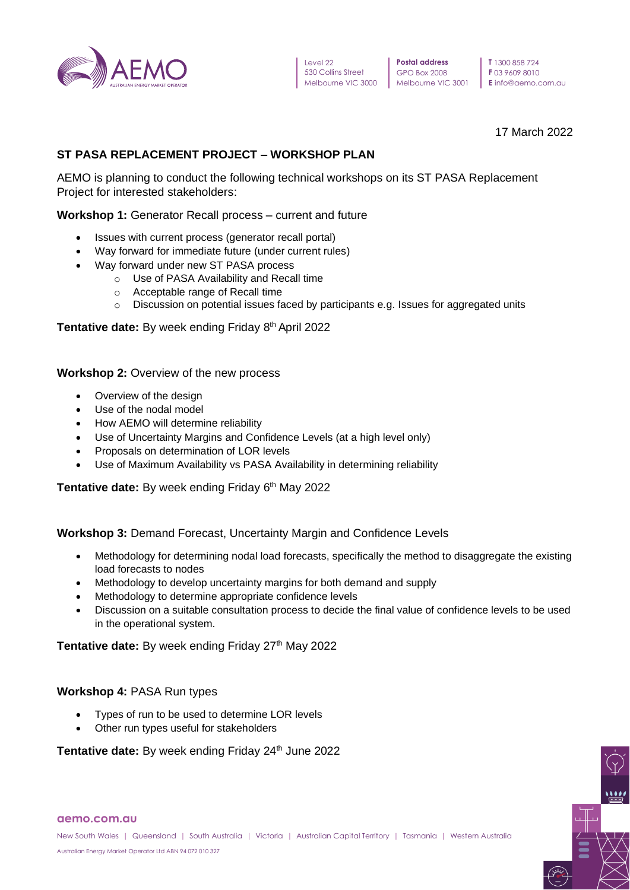

**T** 1300 858 724 **F** 03 9609 8010 **E** info@aemo.com.au

17 March 2022

# **ST PASA REPLACEMENT PROJECT – WORKSHOP PLAN**

AEMO is planning to conduct the following technical workshops on its ST PASA Replacement Project for interested stakeholders:

## **Workshop 1:** Generator Recall process – current and future

- Issues with current process (generator recall portal)
- Way forward for immediate future (under current rules)
- Way forward under new ST PASA process
	- o Use of PASA Availability and Recall time
	- o Acceptable range of Recall time
	- o Discussion on potential issues faced by participants e.g. Issues for aggregated units

## **Tentative date:** By week ending Friday 8 th April 2022

**Workshop 2:** Overview of the new process

- Overview of the design
- Use of the nodal model
- How AEMO will determine reliability
- Use of Uncertainty Margins and Confidence Levels (at a high level only)
- Proposals on determination of LOR levels
- Use of Maximum Availability vs PASA Availability in determining reliability

**Tentative date:** By week ending Friday 6 th May 2022

## **Workshop 3:** Demand Forecast, Uncertainty Margin and Confidence Levels

- Methodology for determining nodal load forecasts, specifically the method to disaggregate the existing load forecasts to nodes
- Methodology to develop uncertainty margins for both demand and supply
- Methodology to determine appropriate confidence levels
- Discussion on a suitable consultation process to decide the final value of confidence levels to be used in the operational system.

Tentative date: By week ending Friday 27<sup>th</sup> May 2022

#### **Workshop 4:** PASA Run types

- Types of run to be used to determine LOR levels
- Other run types useful for stakeholders

Tentative date: By week ending Friday 24<sup>th</sup> June 2022

#### **aemo.com.au**